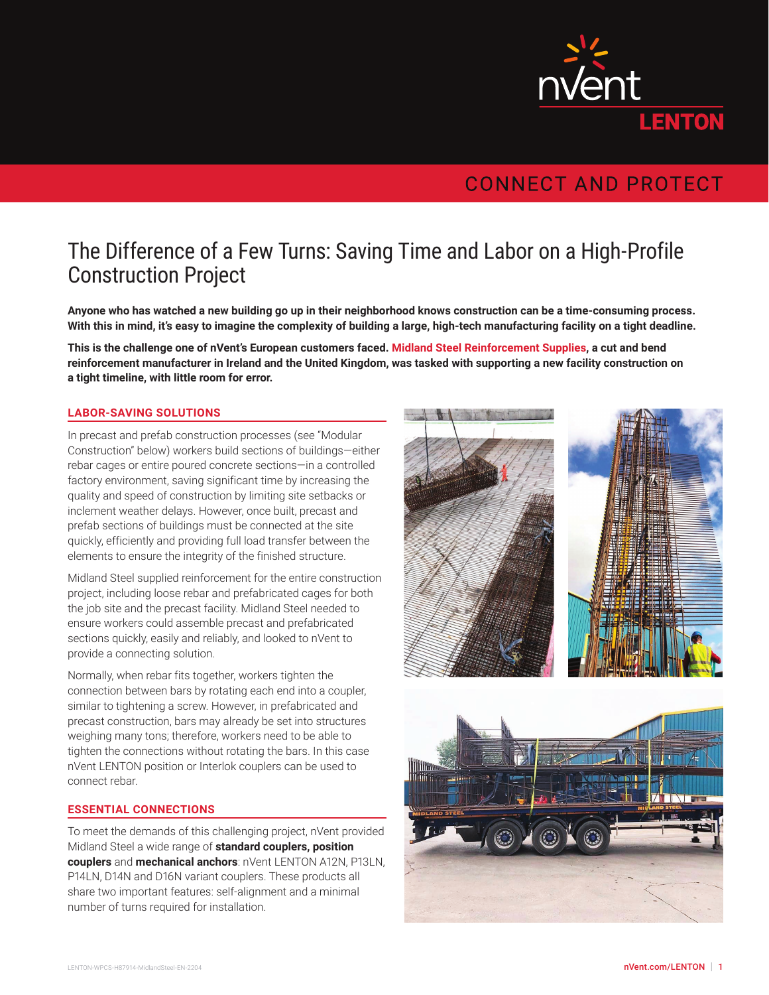

## **CONNECT AND PROTECT**

# The Difference of a Few Turns: Saving Time and Labor on a High-Profile Construction Project

**Anyone who has watched a new building go up in their neighborhood knows construction can be a time-consuming process. With this in mind, it's easy to imagine the complexity of building a large, high-tech manufacturing facility on a tight deadline.**

**This is the challenge one of nVent's European customers faced. Midland Steel Reinforcement Supplies, a cut and bend reinforcement manufacturer in Ireland and the United Kingdom, was tasked with supporting a new facility construction on a tight timeline, with little room for error.**

### **LABOR-SAVING SOLUTIONS**

In precast and prefab construction processes (see "Modular Construction" below) workers build sections of buildings—either rebar cages or entire poured concrete sections—in a controlled factory environment, saving significant time by increasing the quality and speed of construction by limiting site setbacks or inclement weather delays. However, once built, precast and prefab sections of buildings must be connected at the site quickly, efficiently and providing full load transfer between the elements to ensure the integrity of the finished structure.

Midland Steel supplied reinforcement for the entire construction project, including loose rebar and prefabricated cages for both the job site and the precast facility. Midland Steel needed to ensure workers could assemble precast and prefabricated sections quickly, easily and reliably, and looked to nVent to provide a connecting solution.

Normally, when rebar fits together, workers tighten the connection between bars by rotating each end into a coupler, similar to tightening a screw. However, in prefabricated and precast construction, bars may already be set into structures weighing many tons; therefore, workers need to be able to tighten the connections without rotating the bars. In this case nVent LENTON position or Interlok couplers can be used to connect rebar.

#### **ESSENTIAL CONNECTIONS**

To meet the demands of this challenging project, nVent provided Midland Steel a wide range of **standard couplers, position couplers** and **mechanical anchors**: nVent LENTON A12N, P13LN, P14LN, D14N and D16N variant couplers. These products all share two important features: self-alignment and a minimal number of turns required for installation.